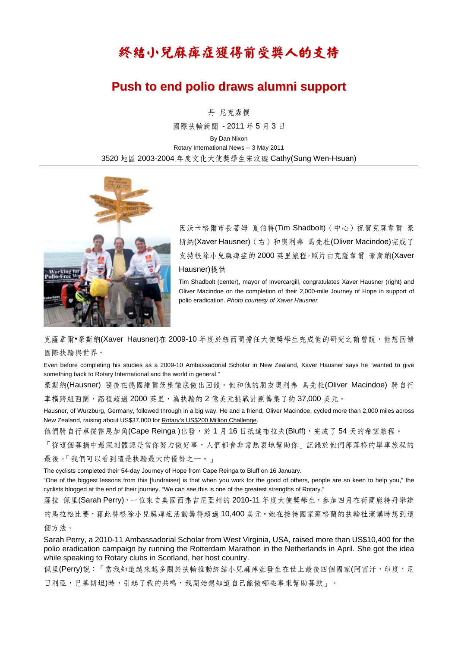## 終結小兒麻痺症獲得前受獎人的支持

## **Push to end polio draws alumni support**

丹 尼克森撰

國際扶輪新聞 - 2011 年 5 月 3 日 By Dan Nixon Rotary International News -- 3 May 2011 3520 地區 2003-2004 年度文化大使獎學生宋汶璇 Cathy(Sung Wen-Hsuan)



因沃卡格爾市長蒂姆 夏伯特(Tim Shadbolt)(中心)祝賀克薩韋爾 豪 斯納(Xaver Hausner)(右)和奧利弗 馬先杜(Oliver Macindoe)完成了 支持根除小兒麻痺症的 2000 英里旅程。照片由克薩韋爾 豪斯納(Xaver Hausner)提供

Tim Shadbolt (center), mayor of Invercargill, congratulates Xaver Hausner (right) and Oliver Macindoe on the completion of their 2,000-mile Journey of Hope in support of polio eradication. *Photo courtesy of Xaver Hausner*

克薩韋爾•豪斯納(Xaver Hausner)在 2009-10 年度於紐西蘭擔任大使獎學生完成他的研究之前曾說,他想回饋 國際扶輪與世界。

Even before completing his studies as a 2009-10 Ambassadorial Scholar in New Zealand, Xaver Hausner says he "wanted to give something back to Rotary International and the world in general."

豪斯納(Hausner) 隨後在德國維爾茨堡徹底做出回饋。他和他的朋友奧利弗 馬先杜(Oliver Macindoe) 騎自行 車橫跨紐西蘭,路程超過 2000 英里,為扶輪的 2 億美元挑戰計劃籌集了約 37,000 美元。

Hausner, of Wurzburg, Germany, followed through in a big way. He and a friend, Oliver Macindoe, cycled more than 2,000 miles across New Zealand, raising about US\$37,000 for Rotary's US\$200 Million Challenge.

他們騎自行車從雷恩加角(Cape Reinga)出發,於 1 月 16 日抵達布拉夫(Bluff), 完成了 54 天的希望旅程。

「從這個募捐中最深刻體認是當你努力做好事,人們都會非常熱衷地幫助你」記錄於他們部落格的單車旅程的

最後。「我們可以看到這是扶輪最大的優勢之一。」

The cyclists completed their 54-day Journey of Hope from Cape Reinga to Bluff on 16 January.

"One of the biggest lessons from this [fundraiser] is that when you work for the good of others, people are so keen to help you," the cyclists blogged at the end of their journey. "We can see this is one of the greatest strengths of Rotary."

薩拉 佩里(Sarah Perry),一位來自美國西弗吉尼亞州的 2010-11 年度大使獎學生,參加四月在荷蘭鹿特丹舉辦

的馬拉松比賽,藉此替根除小兒麻痺症活動籌得超過 10,400 美元。她在接待國家蘇格蘭的扶輪社演講時想到這 個方法。

Sarah Perry, a 2010-11 Ambassadorial Scholar from West Virginia, USA, raised more than US\$10,400 for the polio eradication campaign by running the Rotterdam Marathon in the Netherlands in April. She got the idea while speaking to Rotary clubs in Scotland, her host country.

佩里(Perry)說:「當我知道越來越多關於扶輪推動終結小兒麻痺症發生在世上最後四個國家(阿富汗,印度,尼

日利亞,巴基斯坦)時,引起了我的共鳴,我開始想知道自己能做哪些事來幫助募款」。